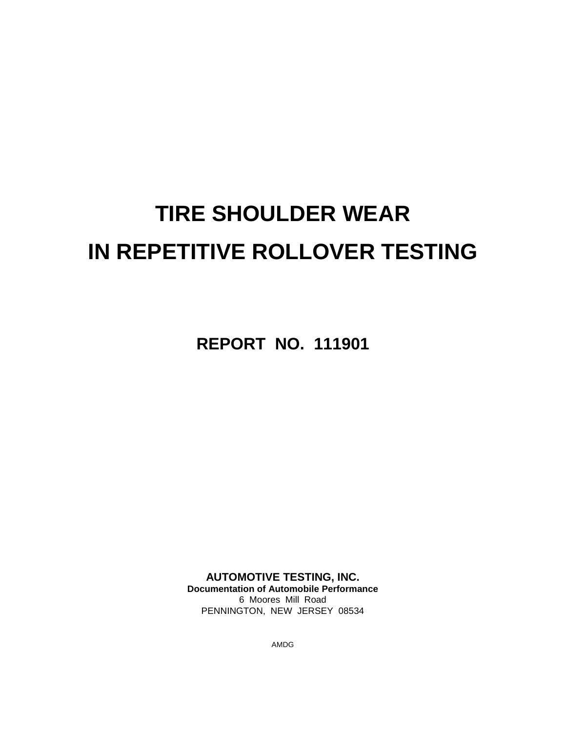# **TIRE SHOULDER WEAR IN REPETITIVE ROLLOVER TESTING**

**REPORT NO. 111901**

**AUTOMOTIVE TESTING, INC. Documentation of Automobile Performance** 6 Moores Mill Road PENNINGTON, NEW JERSEY 08534

AMDG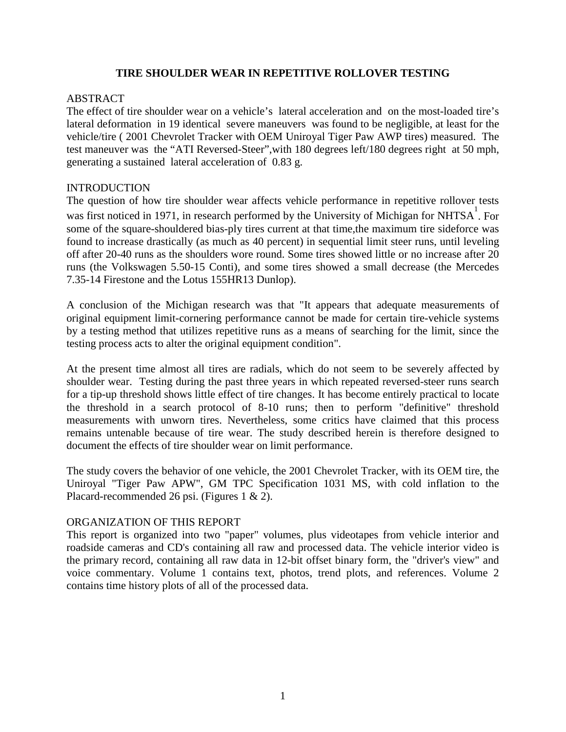#### **TIRE SHOULDER WEAR IN REPETITIVE ROLLOVER TESTING**

#### ABSTRACT

The effect of tire shoulder wear on a vehicle's lateral acceleration and on the most-loaded tire's lateral deformation in 19 identical severe maneuvers was found to be negligible, at least for the vehicle/tire ( 2001 Chevrolet Tracker with OEM Uniroyal Tiger Paw AWP tires) measured. The test maneuver was the "ATI Reversed-Steer",with 180 degrees left/180 degrees right at 50 mph, generating a sustained lateral acceleration of 0.83 g.

#### INTRODUCTION

The question of how tire shoulder wear affects vehicle performance in repetitive rollover tests was first noticed in 1971, in research performed by the University of Michigan for NHTSA. For some of the square-shouldered bias-ply tires current at that time,the maximum tire sideforce was found to increase drastically (as much as 40 percent) in sequential limit steer runs, until leveling off after 20-40 runs as the shoulders wore round. Some tires showed little or no increase after 20 runs (the Volkswagen 5.50-15 Conti), and some tires showed a small decrease (the Mercedes 7.35-14 Firestone and the Lotus 155HR13 Dunlop).

A conclusion of the Michigan research was that "It appears that adequate measurements of original equipment limit-cornering performance cannot be made for certain tire-vehicle systems by a testing method that utilizes repetitive runs as a means of searching for the limit, since the testing process acts to alter the original equipment condition".

At the present time almost all tires are radials, which do not seem to be severely affected by shoulder wear. Testing during the past three years in which repeated reversed-steer runs search for a tip-up threshold shows little effect of tire changes. It has become entirely practical to locate the threshold in a search protocol of 8-10 runs; then to perform "definitive" threshold measurements with unworn tires. Nevertheless, some critics have claimed that this process remains untenable because of tire wear. The study described herein is therefore designed to document the effects of tire shoulder wear on limit performance.

The study covers the behavior of one vehicle, the 2001 Chevrolet Tracker, with its OEM tire, the Uniroyal "Tiger Paw APW", GM TPC Specification 1031 MS, with cold inflation to the Placard-recommended 26 psi. (Figures 1 & 2).

#### ORGANIZATION OF THIS REPORT

This report is organized into two "paper" volumes, plus videotapes from vehicle interior and roadside cameras and CD's containing all raw and processed data. The vehicle interior video is the primary record, containing all raw data in 12-bit offset binary form, the "driver's view" and voice commentary. Volume 1 contains text, photos, trend plots, and references. Volume 2 contains time history plots of all of the processed data.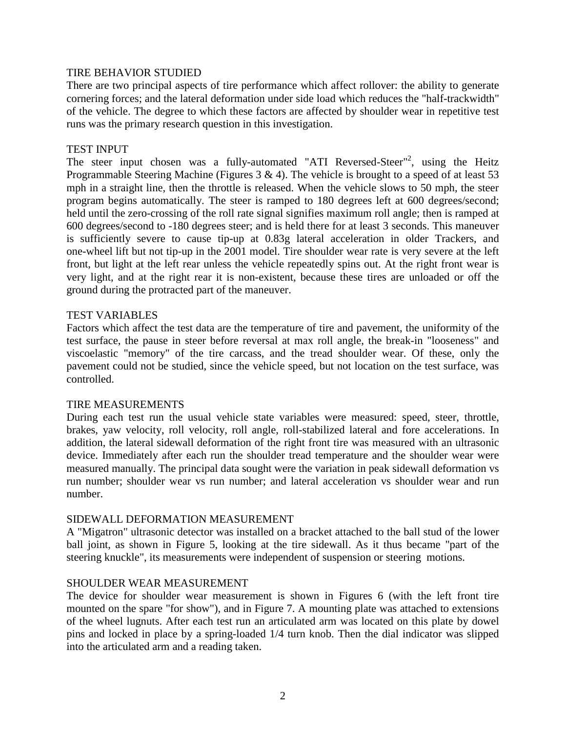#### TIRE BEHAVIOR STUDIED

There are two principal aspects of tire performance which affect rollover: the ability to generate cornering forces; and the lateral deformation under side load which reduces the "half-trackwidth" of the vehicle. The degree to which these factors are affected by shoulder wear in repetitive test runs was the primary research question in this investigation.

#### TEST INPUT

The steer input chosen was a fully-automated "ATI Reversed-Steer"<sup>2</sup>, using the Heitz Programmable Steering Machine (Figures  $3 \& 4$ ). The vehicle is brought to a speed of at least  $53$ mph in a straight line, then the throttle is released. When the vehicle slows to 50 mph, the steer program begins automatically. The steer is ramped to 180 degrees left at 600 degrees/second; held until the zero-crossing of the roll rate signal signifies maximum roll angle; then is ramped at 600 degrees/second to -180 degrees steer; and is held there for at least 3 seconds. This maneuver is sufficiently severe to cause tip-up at 0.83g lateral acceleration in older Trackers, and one-wheel lift but not tip-up in the 2001 model. Tire shoulder wear rate is very severe at the left front, but light at the left rear unless the vehicle repeatedly spins out. At the right front wear is very light, and at the right rear it is non-existent, because these tires are unloaded or off the ground during the protracted part of the maneuver.

#### TEST VARIABLES

Factors which affect the test data are the temperature of tire and pavement, the uniformity of the test surface, the pause in steer before reversal at max roll angle, the break-in "looseness" and viscoelastic "memory" of the tire carcass, and the tread shoulder wear. Of these, only the pavement could not be studied, since the vehicle speed, but not location on the test surface, was controlled.

#### TIRE MEASUREMENTS

During each test run the usual vehicle state variables were measured: speed, steer, throttle, brakes, yaw velocity, roll velocity, roll angle, roll-stabilized lateral and fore accelerations. In addition, the lateral sidewall deformation of the right front tire was measured with an ultrasonic device. Immediately after each run the shoulder tread temperature and the shoulder wear were measured manually. The principal data sought were the variation in peak sidewall deformation vs run number; shoulder wear vs run number; and lateral acceleration vs shoulder wear and run number.

#### SIDEWALL DEFORMATION MEASUREMENT

A "Migatron" ultrasonic detector was installed on a bracket attached to the ball stud of the lower ball joint, as shown in Figure 5, looking at the tire sidewall. As it thus became "part of the steering knuckle", its measurements were independent of suspension or steering motions.

#### SHOULDER WEAR MEASUREMENT

The device for shoulder wear measurement is shown in Figures 6 (with the left front tire mounted on the spare "for show"), and in Figure 7. A mounting plate was attached to extensions of the wheel lugnuts. After each test run an articulated arm was located on this plate by dowel pins and locked in place by a spring-loaded 1/4 turn knob. Then the dial indicator was slipped into the articulated arm and a reading taken.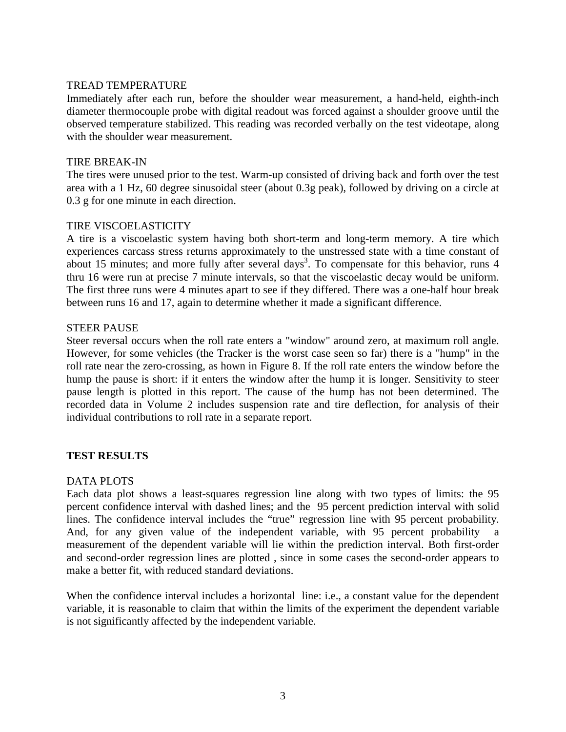#### TREAD TEMPERATURE

Immediately after each run, before the shoulder wear measurement, a hand-held, eighth-inch diameter thermocouple probe with digital readout was forced against a shoulder groove until the observed temperature stabilized. This reading was recorded verbally on the test videotape, along with the shoulder wear measurement.

#### TIRE BREAK-IN

The tires were unused prior to the test. Warm-up consisted of driving back and forth over the test area with a 1 Hz, 60 degree sinusoidal steer (about 0.3g peak), followed by driving on a circle at 0.3 g for one minute in each direction.

#### TIRE VISCOELASTICITY

A tire is a viscoelastic system having both short-term and long-term memory. A tire which experiences carcass stress returns approximately to the unstressed state with a time constant of about 15 minutes; and more fully after several days<sup>3</sup>. To compensate for this behavior, runs 4 thru 16 were run at precise 7 minute intervals, so that the viscoelastic decay would be uniform. The first three runs were 4 minutes apart to see if they differed. There was a one-half hour break between runs 16 and 17, again to determine whether it made a significant difference.

#### STEER PAUSE

Steer reversal occurs when the roll rate enters a "window" around zero, at maximum roll angle. However, for some vehicles (the Tracker is the worst case seen so far) there is a "hump" in the roll rate near the zero-crossing, as hown in Figure 8. If the roll rate enters the window before the hump the pause is short: if it enters the window after the hump it is longer. Sensitivity to steer pause length is plotted in this report. The cause of the hump has not been determined. The recorded data in Volume 2 includes suspension rate and tire deflection, for analysis of their individual contributions to roll rate in a separate report.

#### **TEST RESULTS**

#### DATA PLOTS

Each data plot shows a least-squares regression line along with two types of limits: the 95 percent confidence interval with dashed lines; and the 95 percent prediction interval with solid lines. The confidence interval includes the "true" regression line with 95 percent probability. And, for any given value of the independent variable, with 95 percent probability measurement of the dependent variable will lie within the prediction interval. Both first-order and second-order regression lines are plotted , since in some cases the second-order appears to make a better fit, with reduced standard deviations.

When the confidence interval includes a horizontal line: i.e., a constant value for the dependent variable, it is reasonable to claim that within the limits of the experiment the dependent variable is not significantly affected by the independent variable.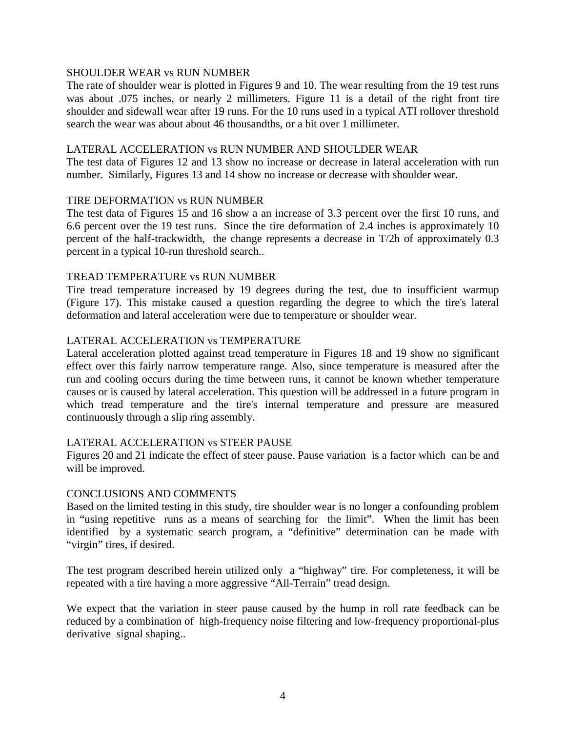#### SHOULDER WEAR vs RUN NUMBER

The rate of shoulder wear is plotted in Figures 9 and 10. The wear resulting from the 19 test runs was about .075 inches, or nearly 2 millimeters. Figure 11 is a detail of the right front tire shoulder and sidewall wear after 19 runs. For the 10 runs used in a typical ATI rollover threshold search the wear was about about 46 thousandths, or a bit over 1 millimeter.

#### LATERAL ACCELERATION vs RUN NUMBER AND SHOULDER WEAR

The test data of Figures 12 and 13 show no increase or decrease in lateral acceleration with run number. Similarly, Figures 13 and 14 show no increase or decrease with shoulder wear.

#### TIRE DEFORMATION vs RUN NUMBER

The test data of Figures 15 and 16 show a an increase of 3.3 percent over the first 10 runs, and 6.6 percent over the 19 test runs. Since the tire deformation of 2.4 inches is approximately 10 percent of the half-trackwidth, the change represents a decrease in T/2h of approximately 0.3 percent in a typical 10-run threshold search..

#### TREAD TEMPERATURE vs RUN NUMBER

Tire tread temperature increased by 19 degrees during the test, due to insufficient warmup (Figure 17). This mistake caused a question regarding the degree to which the tire's lateral deformation and lateral acceleration were due to temperature or shoulder wear.

#### LATERAL ACCELERATION vs TEMPERATURE

Lateral acceleration plotted against tread temperature in Figures 18 and 19 show no significant effect over this fairly narrow temperature range. Also, since temperature is measured after the run and cooling occurs during the time between runs, it cannot be known whether temperature causes or is caused by lateral acceleration. This question will be addressed in a future program in which tread temperature and the tire's internal temperature and pressure are measured continuously through a slip ring assembly.

#### LATERAL ACCELERATION vs STEER PAUSE

Figures 20 and 21 indicate the effect of steer pause. Pause variation is a factor which can be and will be improved.

#### CONCLUSIONS AND COMMENTS

Based on the limited testing in this study, tire shoulder wear is no longer a confounding problem in "using repetitive runs as a means of searching for the limit". When the limit has been identified by a systematic search program, a "definitive" determination can be made with "virgin" tires, if desired.

The test program described herein utilized only a "highway" tire. For completeness, it will be repeated with a tire having a more aggressive "All-Terrain" tread design.

We expect that the variation in steer pause caused by the hump in roll rate feedback can be reduced by a combination of high-frequency noise filtering and low-frequency proportional-plus derivative signal shaping..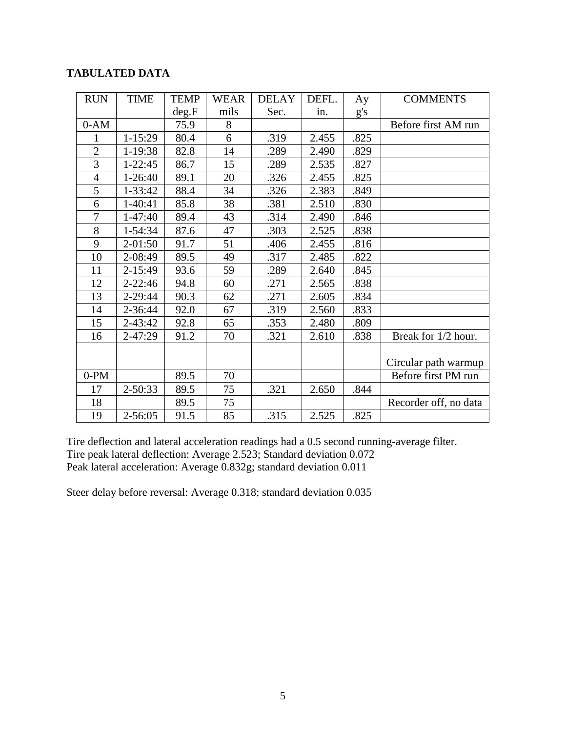#### **TABULATED DATA**

| <b>RUN</b>     | <b>TIME</b> | <b>TEMP</b> | <b>WEAR</b> | <b>DELAY</b> | DEFL. | Ay   | <b>COMMENTS</b>       |
|----------------|-------------|-------------|-------------|--------------|-------|------|-----------------------|
|                |             | deg.F       | mils        | Sec.         | in.   | g's  |                       |
| $0-AM$         |             | 75.9        | 8           |              |       |      | Before first AM run   |
| 1              | $1 - 15:29$ | 80.4        | 6           | .319         | 2.455 | .825 |                       |
| $\overline{2}$ | 1-19:38     | 82.8        | 14          | .289         | 2.490 | .829 |                       |
| $\overline{3}$ | $1 - 22:45$ | 86.7        | 15          | .289         | 2.535 | .827 |                       |
| $\overline{4}$ | $1 - 26:40$ | 89.1        | 20          | .326         | 2.455 | .825 |                       |
| 5              | $1 - 33:42$ | 88.4        | 34          | .326         | 2.383 | .849 |                       |
| 6              | 1-40:41     | 85.8        | 38          | .381         | 2.510 | .830 |                       |
| 7              | $1-47:40$   | 89.4        | 43          | .314         | 2.490 | .846 |                       |
| 8              | 1-54:34     | 87.6        | 47          | .303         | 2.525 | .838 |                       |
| 9              | $2 - 01:50$ | 91.7        | 51          | .406         | 2.455 | .816 |                       |
| 10             | 2-08:49     | 89.5        | 49          | .317         | 2.485 | .822 |                       |
| 11             | 2-15:49     | 93.6        | 59          | .289         | 2.640 | .845 |                       |
| 12             | $2 - 22:46$ | 94.8        | 60          | .271         | 2.565 | .838 |                       |
| 13             | 2-29:44     | 90.3        | 62          | .271         | 2.605 | .834 |                       |
| 14             | 2-36:44     | 92.0        | 67          | .319         | 2.560 | .833 |                       |
| 15             | 2-43:42     | 92.8        | 65          | .353         | 2.480 | .809 |                       |
| 16             | $2 - 47:29$ | 91.2        | 70          | .321         | 2.610 | .838 | Break for 1/2 hour.   |
|                |             |             |             |              |       |      |                       |
|                |             |             |             |              |       |      | Circular path warmup  |
| $0-PM$         |             | 89.5        | 70          |              |       |      | Before first PM run   |
| 17             | $2 - 50:33$ | 89.5        | 75          | .321         | 2.650 | .844 |                       |
| 18             |             | 89.5        | 75          |              |       |      | Recorder off, no data |
| 19             | 2-56:05     | 91.5        | 85          | .315         | 2.525 | .825 |                       |

Tire deflection and lateral acceleration readings had a 0.5 second running-average filter. Tire peak lateral deflection: Average 2.523; Standard deviation 0.072 Peak lateral acceleration: Average 0.832g; standard deviation 0.011

Steer delay before reversal: Average 0.318; standard deviation 0.035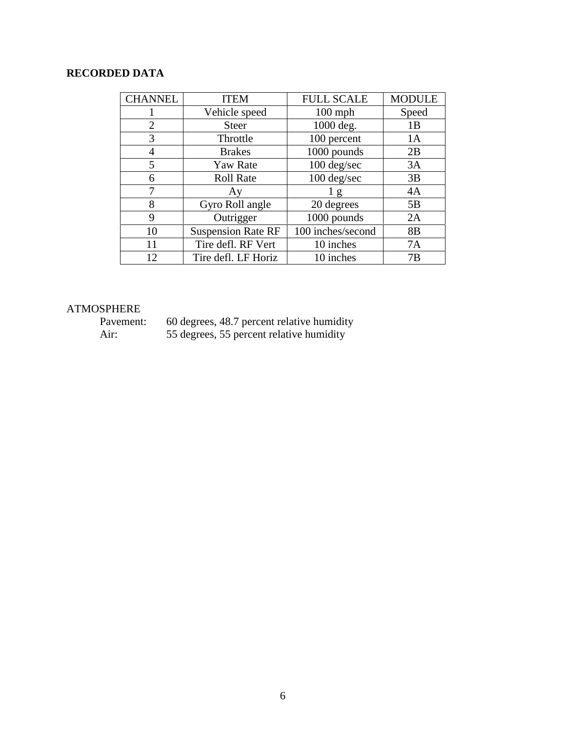## **RECORDED DATA**

| <b>CHANNEL</b> | <b>ITEM</b>               | <b>FULL SCALE</b> | <b>MODULE</b>  |
|----------------|---------------------------|-------------------|----------------|
|                | Vehicle speed             | $100$ mph         | Speed          |
| 2              | <b>Steer</b>              | 1000 deg.         | 1B             |
| 3              | Throttle                  | 100 percent       | 1A             |
| 4              | <b>Brakes</b>             | 1000 pounds       | 2B             |
| 5              | <b>Yaw Rate</b>           | 100 deg/sec       | 3A             |
| 6              | <b>Roll Rate</b>          | 100 deg/sec       | 3B             |
| 7              | Ay                        | 1g                | 4A             |
| 8              | Gyro Roll angle           | 20 degrees        | 5B             |
| 9              | Outrigger                 | 1000 pounds       | 2A             |
| 10             | <b>Suspension Rate RF</b> | 100 inches/second | 8 <sub>B</sub> |
| 11             | Tire defl. RF Vert        | 10 inches         | 7A             |
| 12             | Tire defl. LF Horiz       | 10 inches         | 7B             |

## ATMOSPHERE<br>Pavement:

Pavement: 60 degrees, 48.7 percent relative humidity Air: 55 degrees, 55 percent relative humidity

6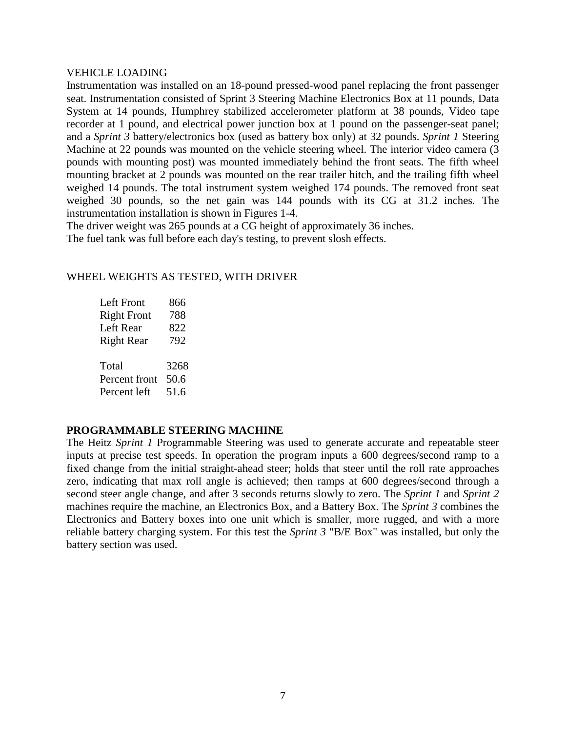#### VEHICLE LOADING

Instrumentation was installed on an 18-pound pressed-wood panel replacing the front passenger seat. Instrumentation consisted of Sprint 3 Steering Machine Electronics Box at 11 pounds, Data System at 14 pounds, Humphrey stabilized accelerometer platform at 38 pounds, Video tape recorder at 1 pound, and electrical power junction box at 1 pound on the passenger-seat panel; and a *Sprint 3* battery/electronics box (used as battery box only) at 32 pounds. *Sprint 1* Steering Machine at 22 pounds was mounted on the vehicle steering wheel. The interior video camera (3 pounds with mounting post) was mounted immediately behind the front seats. The fifth wheel mounting bracket at 2 pounds was mounted on the rear trailer hitch, and the trailing fifth wheel weighed 14 pounds. The total instrument system weighed 174 pounds. The removed front seat weighed 30 pounds, so the net gain was 144 pounds with its CG at 31.2 inches. The instrumentation installation is shown in Figures 1-4.

The driver weight was 265 pounds at a CG height of approximately 36 inches. The fuel tank was full before each day's testing, to prevent slosh effects.

#### WHEEL WEIGHTS AS TESTED, WITH DRIVER

| Left Front         | 866  |
|--------------------|------|
| <b>Right Front</b> | 788  |
| Left Rear          | 822  |
| <b>Right Rear</b>  | 792  |
| Total              | 3268 |
| Percent front      | 50.6 |
| Percent left       | 51.6 |

#### **PROGRAMMABLE STEERING MACHINE**

The Heitz *Sprint 1* Programmable Steering was used to generate accurate and repeatable steer inputs at precise test speeds. In operation the program inputs a 600 degrees/second ramp to a fixed change from the initial straight-ahead steer; holds that steer until the roll rate approaches zero, indicating that max roll angle is achieved; then ramps at 600 degrees/second through a second steer angle change, and after 3 seconds returns slowly to zero. The *Sprint 1* and *Sprint 2* machines require the machine, an Electronics Box, and a Battery Box. The *Sprint 3* combines the Electronics and Battery boxes into one unit which is smaller, more rugged, and with a more reliable battery charging system. For this test the *Sprint 3* "B/E Box" was installed, but only the battery section was used.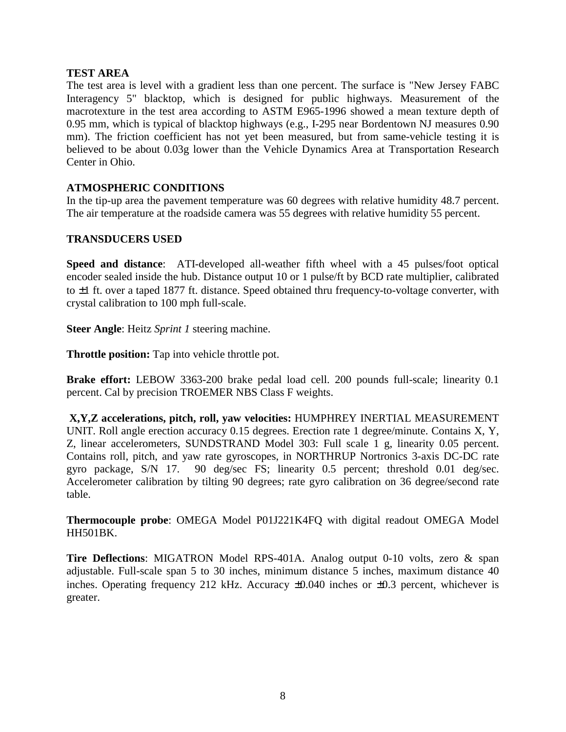#### **TEST AREA**

The test area is level with a gradient less than one percent. The surface is "New Jersey FABC Interagency 5" blacktop, which is designed for public highways. Measurement of the macrotexture in the test area according to ASTM E965-1996 showed a mean texture depth of 0.95 mm, which is typical of blacktop highways (e.g., I-295 near Bordentown NJ measures 0.90 mm). The friction coefficient has not yet been measured, but from same-vehicle testing it is believed to be about 0.03g lower than the Vehicle Dynamics Area at Transportation Research Center in Ohio.

#### **ATMOSPHERIC CONDITIONS**

In the tip-up area the pavement temperature was 60 degrees with relative humidity 48.7 percent. The air temperature at the roadside camera was 55 degrees with relative humidity 55 percent.

#### **TRANSDUCERS USED**

**Speed and distance**: ATI-developed all-weather fifth wheel with a 45 pulses/foot optical encoder sealed inside the hub. Distance output 10 or 1 pulse/ft by BCD rate multiplier, calibrated to  $\pm 1$  ft. over a taped 1877 ft. distance. Speed obtained thru frequency-to-voltage converter, with crystal calibration to 100 mph full-scale.

**Steer Angle**: Heitz *Sprint 1* steering machine.

**Throttle position:** Tap into vehicle throttle pot.

**Brake effort:** LEBOW 3363-200 brake pedal load cell. 200 pounds full-scale; linearity 0.1 percent. Cal by precision TROEMER NBS Class F weights.

 **X,Y,Z accelerations, pitch, roll, yaw velocities:** HUMPHREY INERTIAL MEASUREMENT UNIT. Roll angle erection accuracy 0.15 degrees. Erection rate 1 degree/minute. Contains X, Y, Z, linear accelerometers, SUNDSTRAND Model 303: Full scale 1 g, linearity 0.05 percent. Contains roll, pitch, and yaw rate gyroscopes, in NORTHRUP Nortronics 3-axis DC-DC rate gyro package, S/N 17. 90 deg/sec FS; linearity 0.5 percent; threshold 0.01 deg/sec. Accelerometer calibration by tilting 90 degrees; rate gyro calibration on 36 degree/second rate table.

**Thermocouple probe**: OMEGA Model P01J221K4FQ with digital readout OMEGA Model HH501BK.

**Tire Deflections**: MIGATRON Model RPS-401A. Analog output 0-10 volts, zero & span adjustable. Full-scale span 5 to 30 inches, minimum distance 5 inches, maximum distance 40 inches. Operating frequency 212 kHz. Accuracy  $\pm 0.040$  inches or  $\pm 0.3$  percent, whichever is greater.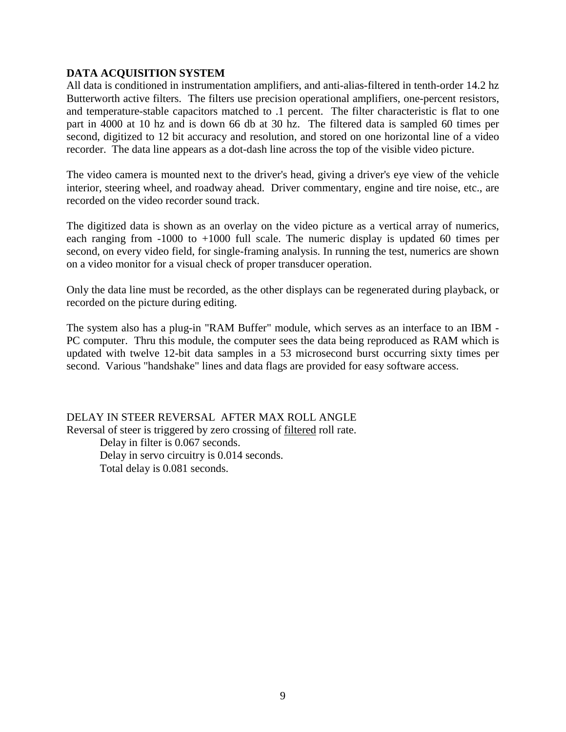#### **DATA ACQUISITION SYSTEM**

All data is conditioned in instrumentation amplifiers, and anti-alias-filtered in tenth-order 14.2 hz Butterworth active filters. The filters use precision operational amplifiers, one-percent resistors, and temperature-stable capacitors matched to .1 percent. The filter characteristic is flat to one part in 4000 at 10 hz and is down 66 db at 30 hz. The filtered data is sampled 60 times per second, digitized to 12 bit accuracy and resolution, and stored on one horizontal line of a video recorder. The data line appears as a dot-dash line across the top of the visible video picture.

The video camera is mounted next to the driver's head, giving a driver's eye view of the vehicle interior, steering wheel, and roadway ahead. Driver commentary, engine and tire noise, etc., are recorded on the video recorder sound track.

The digitized data is shown as an overlay on the video picture as a vertical array of numerics, each ranging from -1000 to +1000 full scale. The numeric display is updated 60 times per second, on every video field, for single-framing analysis. In running the test, numerics are shown on a video monitor for a visual check of proper transducer operation.

Only the data line must be recorded, as the other displays can be regenerated during playback, or recorded on the picture during editing.

The system also has a plug-in "RAM Buffer" module, which serves as an interface to an IBM - PC computer. Thru this module, the computer sees the data being reproduced as RAM which is updated with twelve 12-bit data samples in a 53 microsecond burst occurring sixty times per second. Various "handshake" lines and data flags are provided for easy software access.

DELAY IN STEER REVERSAL AFTER MAX ROLL ANGLE Reversal of steer is triggered by zero crossing of filtered roll rate. Delay in filter is 0.067 seconds. Delay in servo circuitry is 0.014 seconds. Total delay is 0.081 seconds.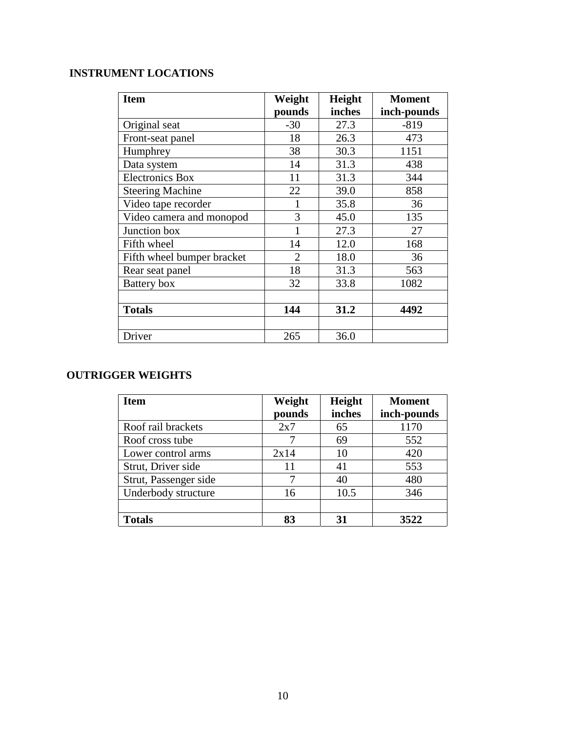## **INSTRUMENT LOCATIONS**

| <b>Item</b>                | Weight                      | Height | <b>Moment</b> |
|----------------------------|-----------------------------|--------|---------------|
|                            | pounds                      | inches | inch-pounds   |
| Original seat              | $-30$                       | 27.3   | $-819$        |
| Front-seat panel           | 18                          | 26.3   | 473           |
| Humphrey                   | 38                          | 30.3   | 1151          |
| Data system                | 14                          | 31.3   | 438           |
| <b>Electronics Box</b>     | 11                          | 31.3   | 344           |
| <b>Steering Machine</b>    | 22                          | 39.0   | 858           |
| Video tape recorder        |                             | 35.8   | 36            |
| Video camera and monopod   | 3                           | 45.0   | 135           |
| Junction box               |                             | 27.3   | 27            |
| Fifth wheel                | 14                          | 12.0   | 168           |
| Fifth wheel bumper bracket | $\mathcal{D}_{\mathcal{L}}$ | 18.0   | 36            |
| Rear seat panel            | 18                          | 31.3   | 563           |
| Battery box                | 32                          | 33.8   | 1082          |
|                            |                             |        |               |
| <b>Totals</b>              | 144                         | 31.2   | 4492          |
|                            |                             |        |               |
| Driver                     | 265                         | 36.0   |               |

## **OUTRIGGER WEIGHTS**

| <b>Item</b>           | Weight | Height | <b>Moment</b> |
|-----------------------|--------|--------|---------------|
|                       | pounds | inches | inch-pounds   |
| Roof rail brackets    | 2x7    | 65     | 1170          |
| Roof cross tube       |        | 69     | 552           |
| Lower control arms    | 2x14   | 10     | 420           |
| Strut, Driver side    | 11     | 41     | 553           |
| Strut, Passenger side |        | 40     | 480           |
| Underbody structure   | 16     | 10.5   | 346           |
|                       |        |        |               |
| <b>Totals</b>         | 83     | 31     | 3522          |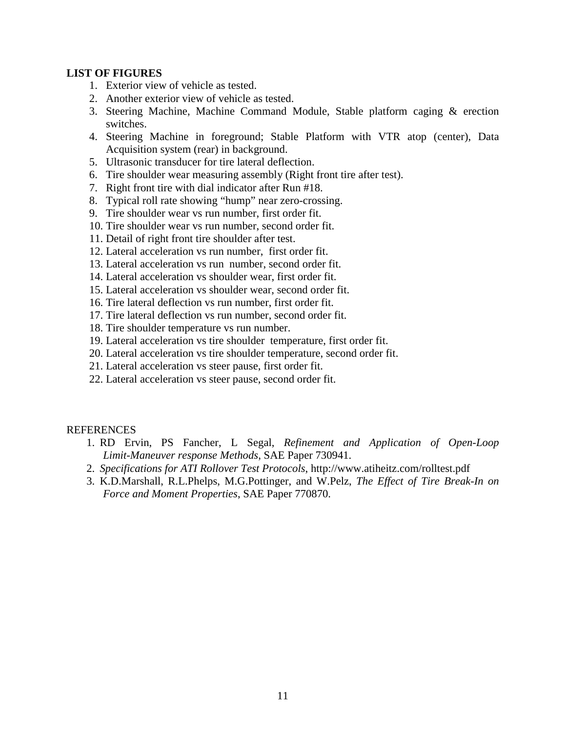#### **LIST OF FIGURES**

- 1. Exterior view of vehicle as tested.
- 2. Another exterior view of vehicle as tested.
- 3. Steering Machine, Machine Command Module, Stable platform caging & erection switches.
- 4. Steering Machine in foreground; Stable Platform with VTR atop (center), Data Acquisition system (rear) in background.
- 5. Ultrasonic transducer for tire lateral deflection.
- 6. Tire shoulder wear measuring assembly (Right front tire after test).
- 7. Right front tire with dial indicator after Run #18.
- 8. Typical roll rate showing "hump" near zero-crossing.
- 9. Tire shoulder wear vs run number, first order fit.
- 10. Tire shoulder wear vs run number, second order fit.
- 11. Detail of right front tire shoulder after test.
- 12. Lateral acceleration vs run number, first order fit.
- 13. Lateral acceleration vs run number, second order fit.
- 14. Lateral acceleration vs shoulder wear, first order fit.
- 15. Lateral acceleration vs shoulder wear, second order fit.
- 16. Tire lateral deflection vs run number, first order fit.
- 17. Tire lateral deflection vs run number, second order fit.
- 18. Tire shoulder temperature vs run number.
- 19. Lateral acceleration vs tire shoulder temperature, first order fit.
- 20. Lateral acceleration vs tire shoulder temperature, second order fit.
- 21. Lateral acceleration vs steer pause, first order fit.
- 22. Lateral acceleration vs steer pause, second order fit.

#### REFERENCES

- 1. RD Ervin, PS Fancher, L Segal, *Refinement and Application of Open-Loop Limit-Maneuver response Methods*, SAE Paper 730941.
- 2. *Specifications for ATI Rollover Test Protocols*, http://www.atiheitz.com/rolltest.pdf
- 3. K.D.Marshall, R.L.Phelps, M.G.Pottinger, and W.Pelz, *The Effect of Tire Break-In on Force and Moment Properties*, SAE Paper 770870.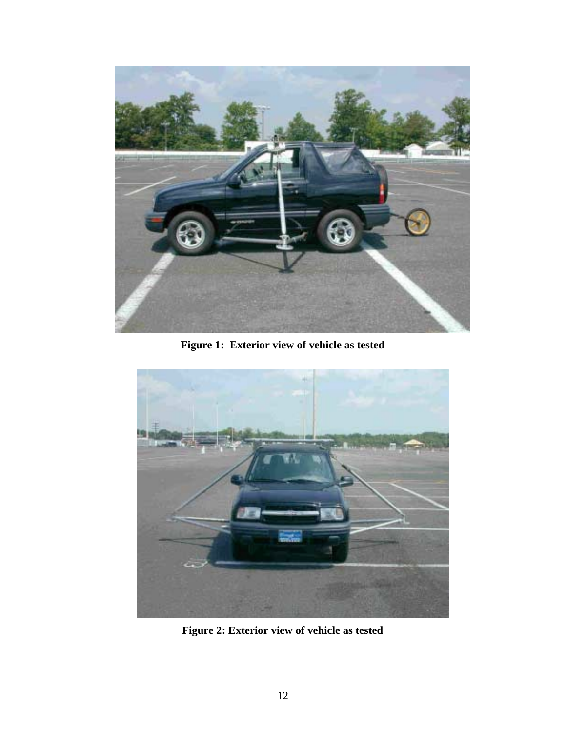

**Figure 1: Exterior view of vehicle as tested**



**Figure 2: Exterior view of vehicle as tested**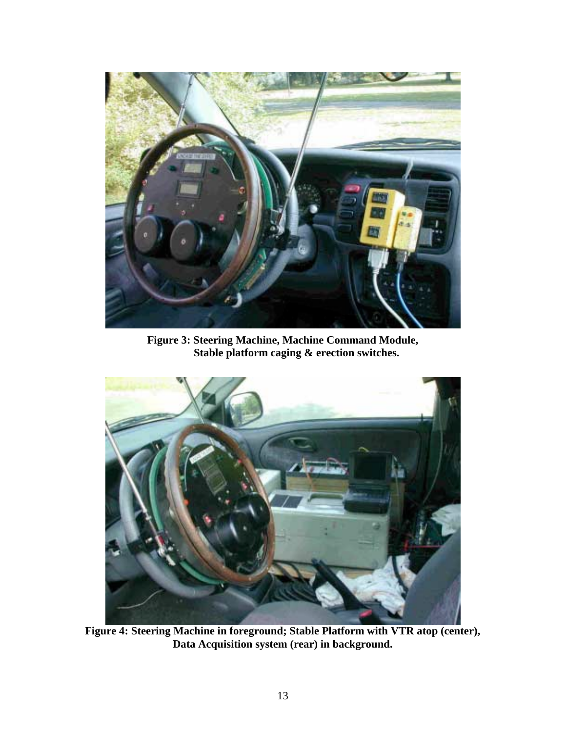

**Figure 3: Steering Machine, Machine Command Module, Stable platform caging & erection switches.**



**Figure 4: Steering Machine in foreground; Stable Platform with VTR atop (center), Data Acquisition system (rear) in background.**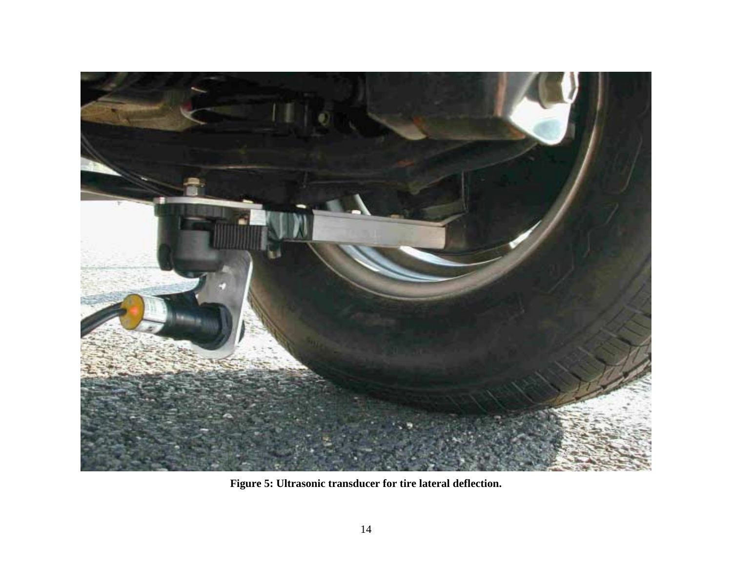

**Figure 5: Ultrasonic transducer for tire lateral deflection.**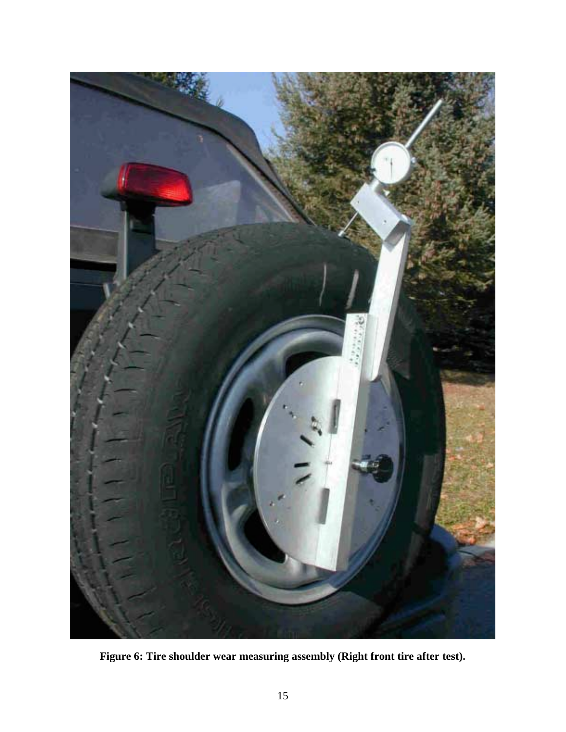

**Figure 6: Tire shoulder wear measuring assembly (Right front tire after test).**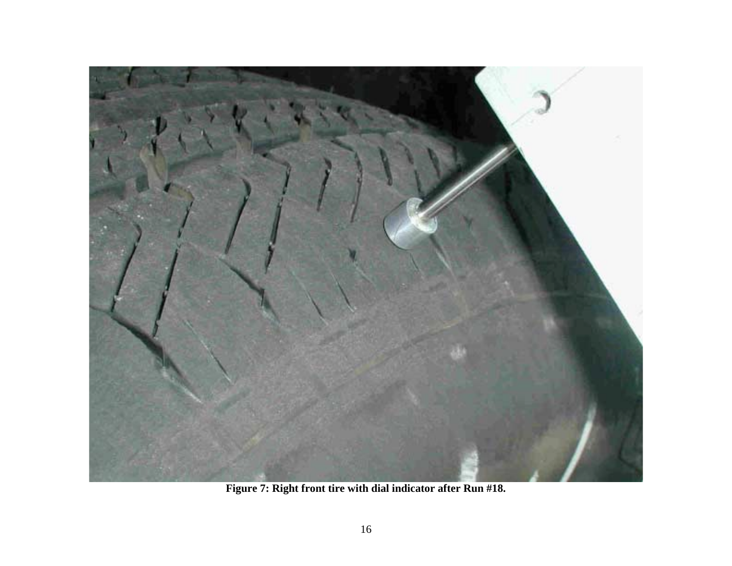

**Figure 7: Right front tire with dial indicator after Run #18.**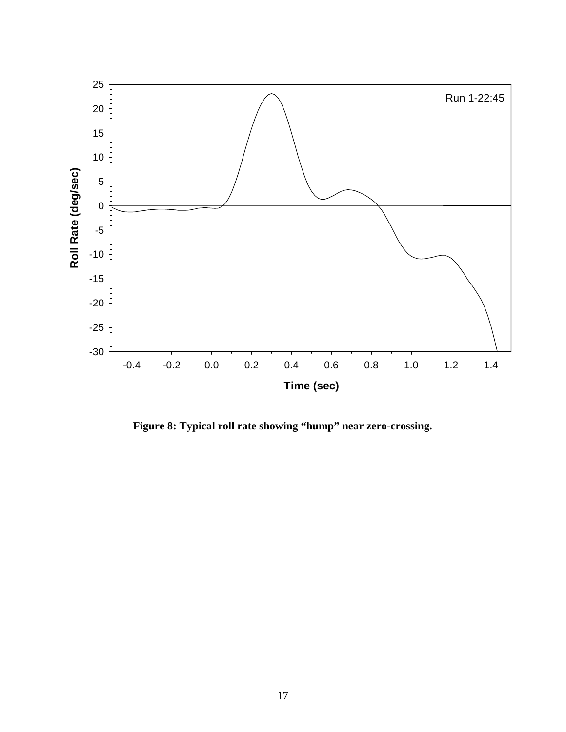

**Figure 8: Typical roll rate showing "hump" near zero-crossing.**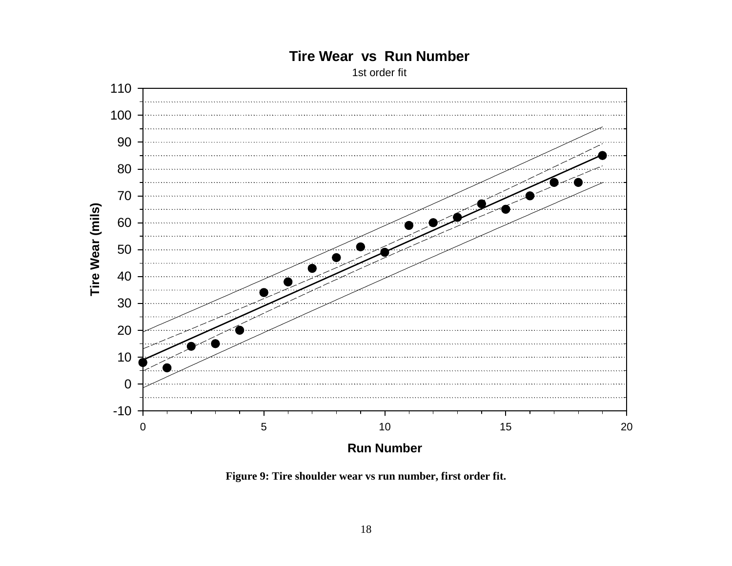## **Tire Wear vs Run Number**

1st order fit



**Figure 9: Tire shoulder wear vs run number, first order fit.**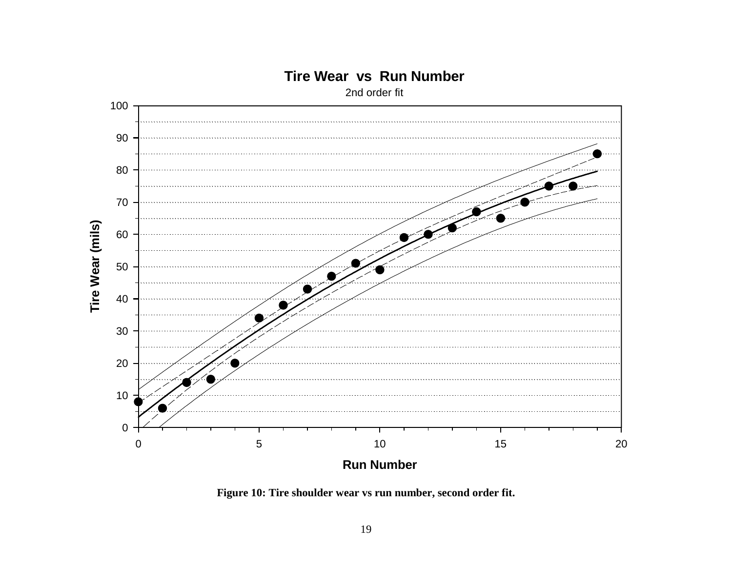

## **Tire Wear vs Run Number**

2nd order fit

**Figure 10: Tire shoulder wear vs run number, second order fit.**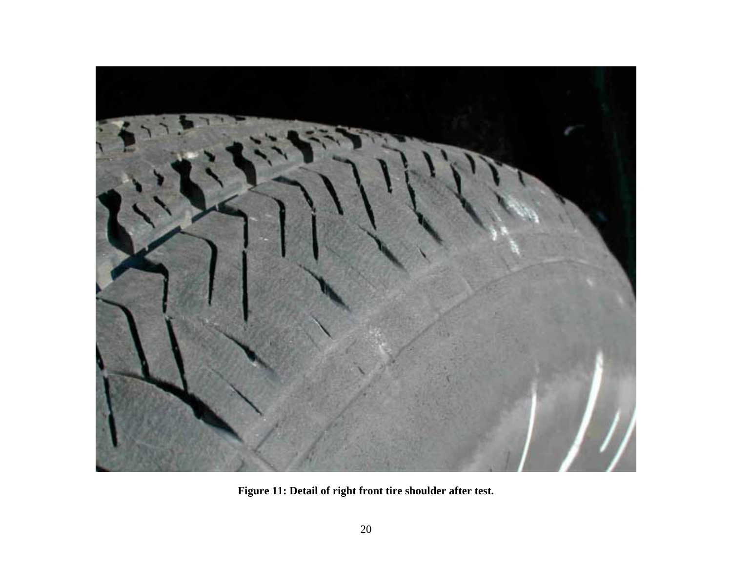

**Figure 11: Detail of right front tire shoulder after test.**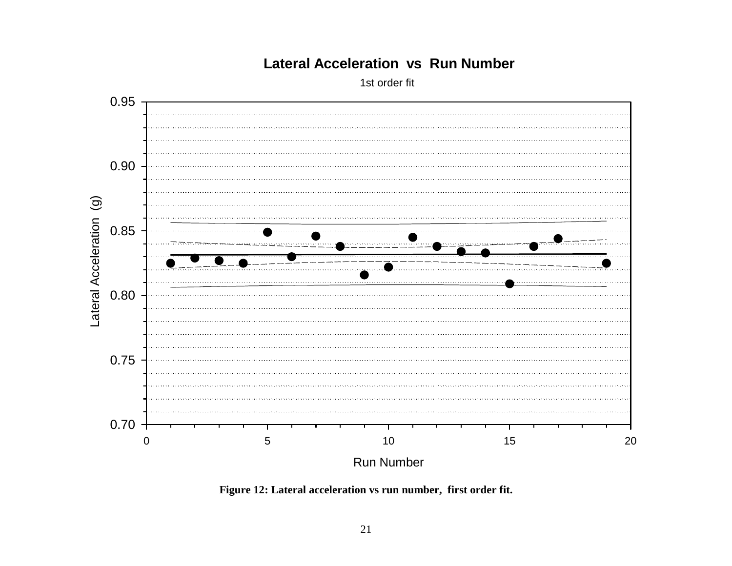

## **Lateral Acceleration vs Run Number**

1st order fit

**Figure 12: Lateral acceleration vs run number, first order fit.**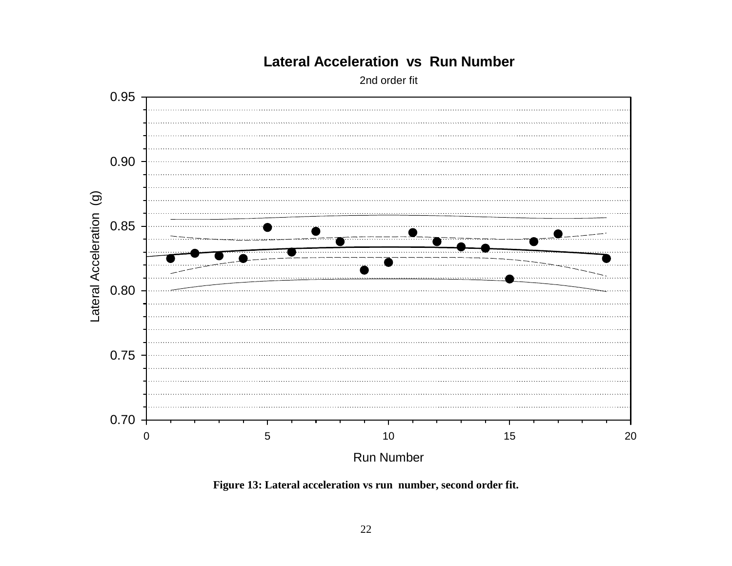

## **Lateral Acceleration vs Run Number**

2nd order fit

**Figure 13: Lateral acceleration vs run number, second order fit.**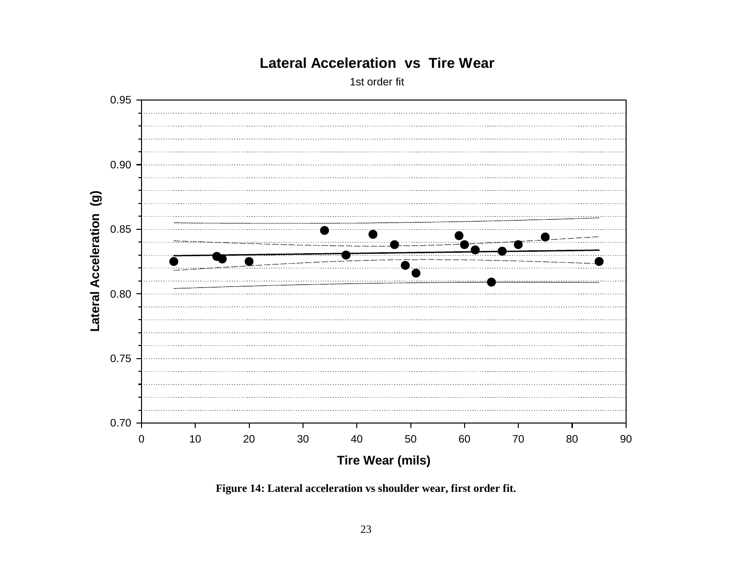

## **Lateral Acceleration vs Tire Wear**

1st order fit

**Figure 14: Lateral acceleration vs shoulder wear, first order fit.**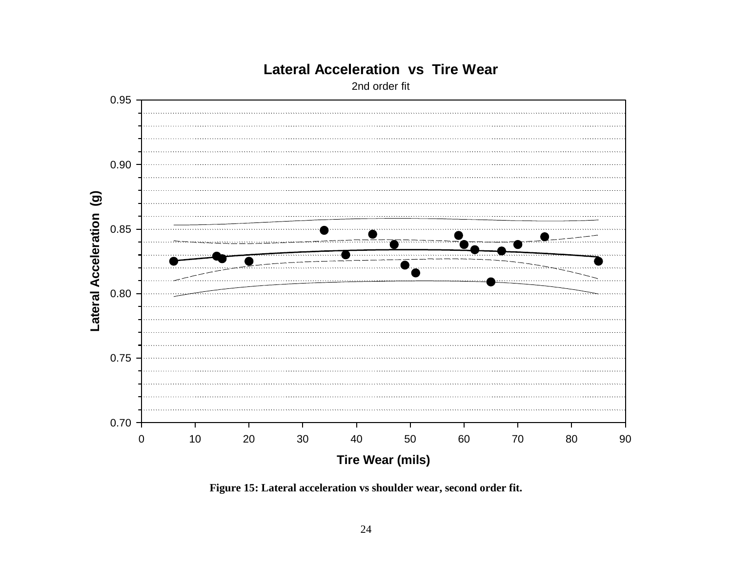

## **Lateral Acceleration vs Tire Wear**

2nd order fit

**Figure 15: Lateral acceleration vs shoulder wear, second order fit.**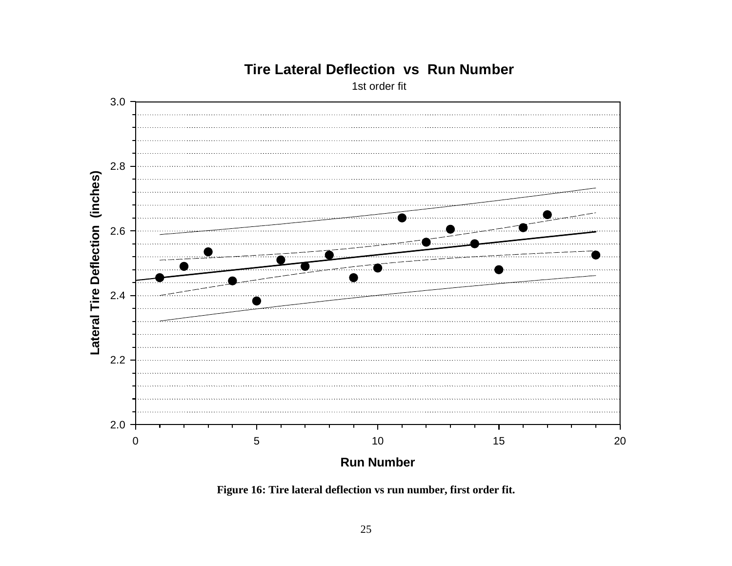

## **Tire Lateral Deflection vs Run Number**

1st order fit

**Figure 16: Tire lateral deflection vs run number, first order fit.**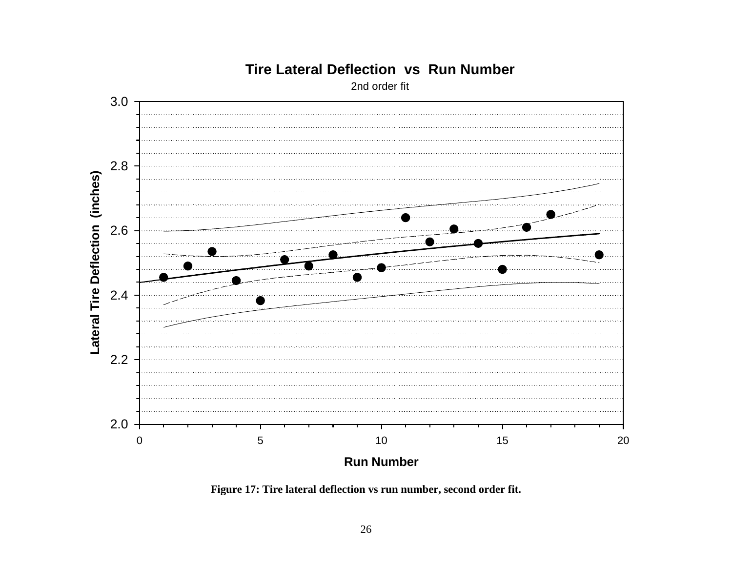

## **Tire Lateral Deflection vs Run Number**

2nd order fit

**Figure 17: Tire lateral deflection vs run number, second order fit.**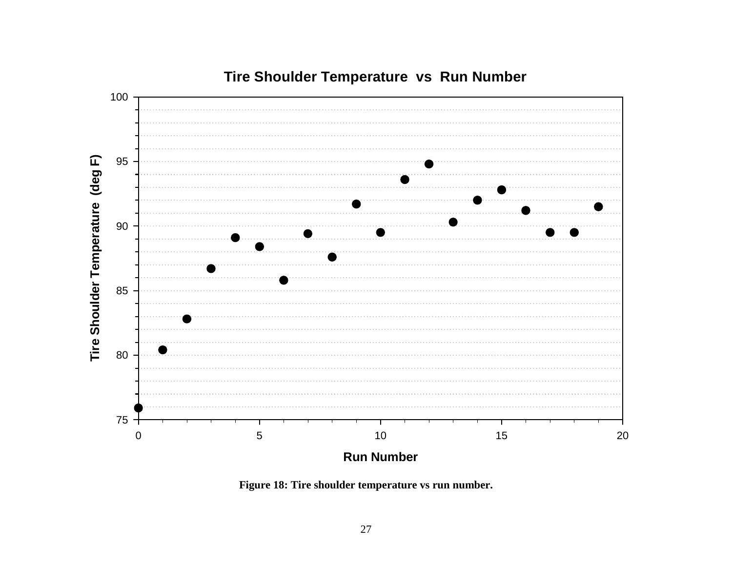

## **Tire Shoulder Temperature vs Run Number**

**Figure 18: Tire shoulder temperature vs run number.**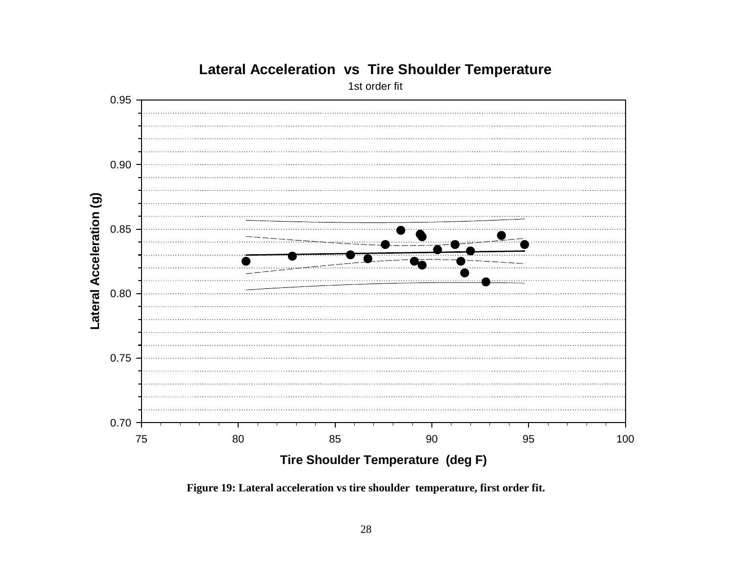

## **Lateral Acceleration vs Tire Shoulder Temperature**

1st order fit

**Figure 19: Lateral acceleration vs tire shoulder temperature, first order fit.**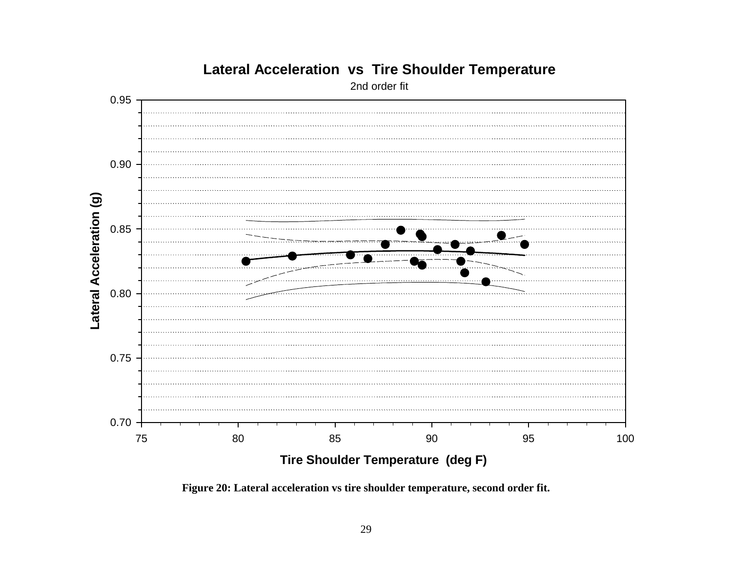

## **Lateral Acceleration vs Tire Shoulder Temperature**

2nd order fit

**Figure 20: Lateral acceleration vs tire shoulder temperature, second order fit.**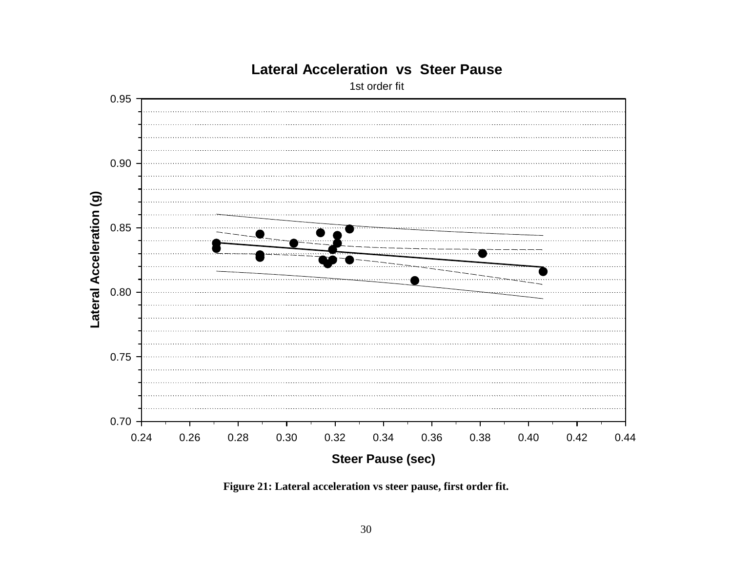

## **Lateral Acceleration vs Steer Pause**

1st order fit

**Figure 21: Lateral acceleration vs steer pause, first order fit.**